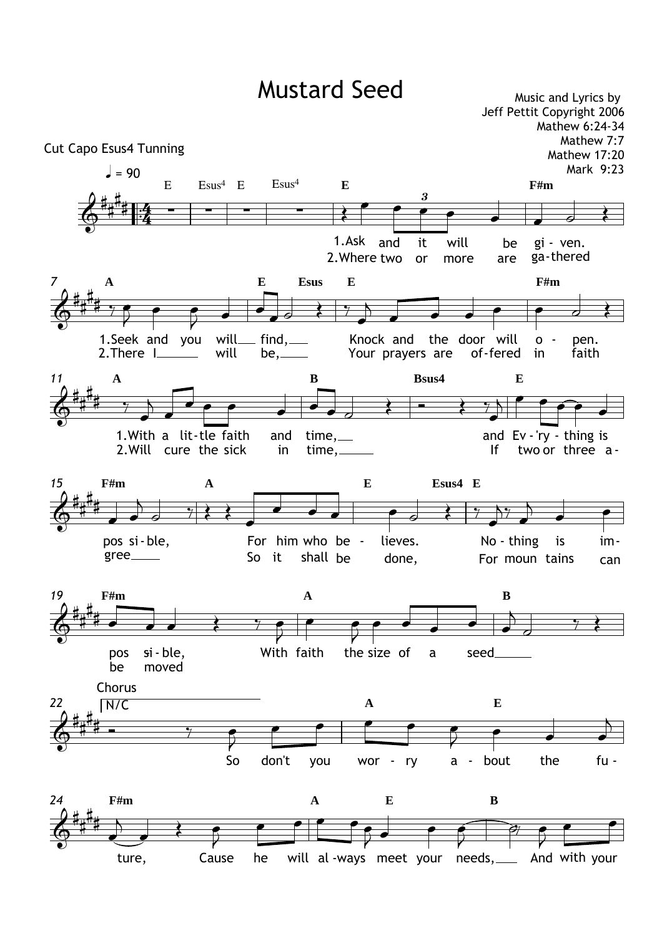